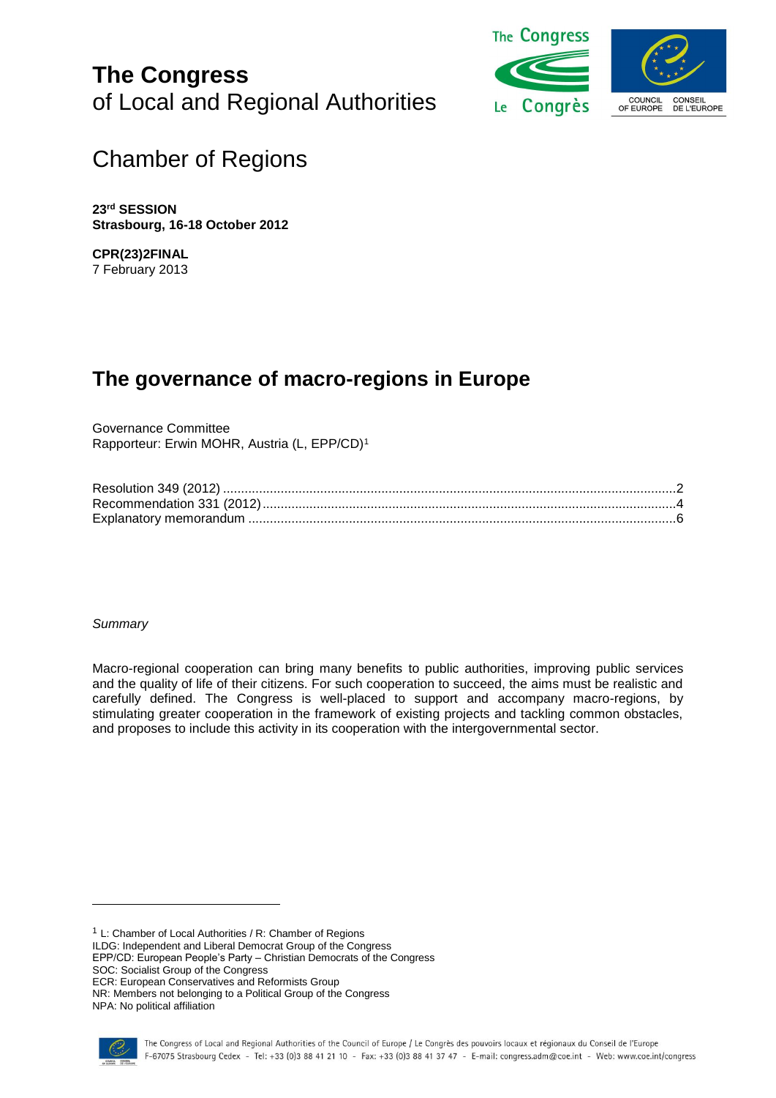**The Congress** of Local and Regional Authorities



# Chamber of Regions

**23 rd SESSION Strasbourg, 16-18 October 2012**

**CPR(23)2FINAL** 7 February 2013

# **The governance of macro-regions in Europe**

Governance Committee Rapporteur: Erwin MOHR, Austria (L, EPP/CD)<sup>1</sup>

*Summary*

Macro-regional cooperation can bring many benefits to public authorities, improving public services and the quality of life of their citizens. For such cooperation to succeed, the aims must be realistic and carefully defined. The Congress is well-placed to support and accompany macro-regions, by stimulating greater cooperation in the framework of existing projects and tackling common obstacles, and proposes to include this activity in its cooperation with the intergovernmental sector.

<sup>1</sup> L: Chamber of Local Authorities / R: Chamber of Regions

ILDG: Independent and Liberal Democrat Group of the Congress

EPP/CD: European People's Party – Christian Democrats of the Congress

SOC: Socialist Group of the Congress

ECR: European Conservatives and Reformists Group

NR: Members not belonging to a Political Group of the Congress

NPA: No political affiliation

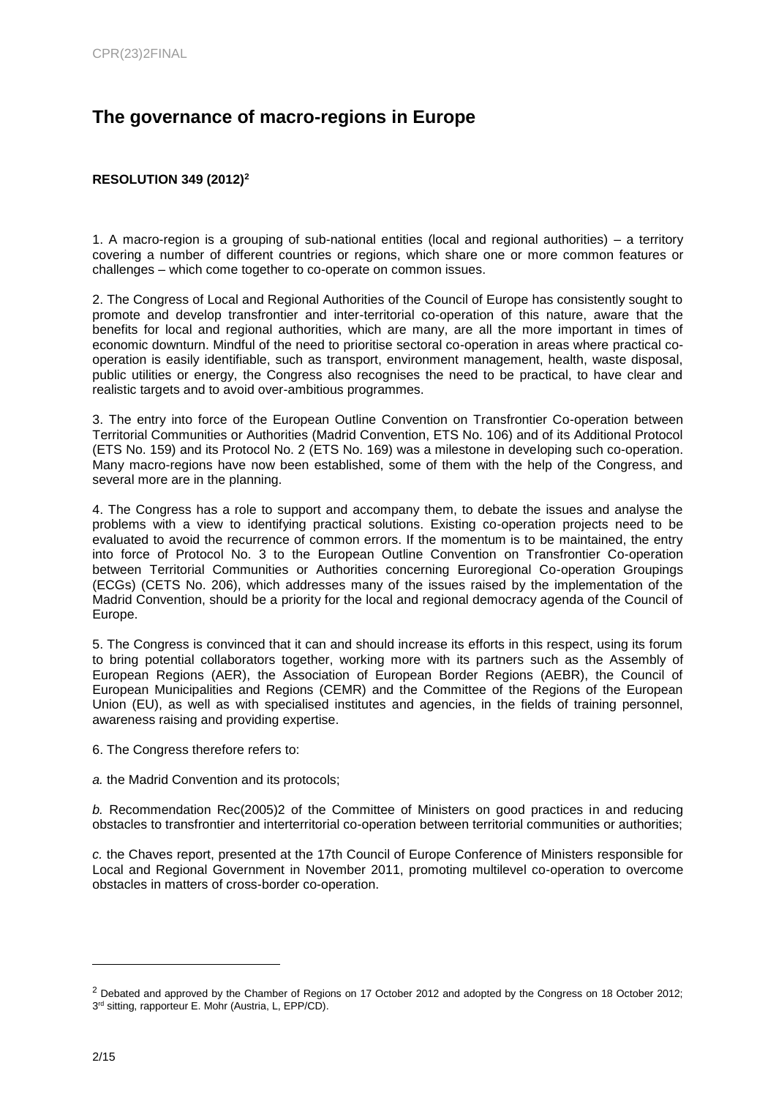## **The governance of macro-regions in Europe**

## <span id="page-1-0"></span>**RESOLUTION 349 (2012)<sup>2</sup>**

1. A macro-region is a grouping of sub-national entities (local and regional authorities) – a territory covering a number of different countries or regions, which share one or more common features or challenges – which come together to co-operate on common issues.

2. The Congress of Local and Regional Authorities of the Council of Europe has consistently sought to promote and develop transfrontier and inter-territorial co-operation of this nature, aware that the benefits for local and regional authorities, which are many, are all the more important in times of economic downturn. Mindful of the need to prioritise sectoral co-operation in areas where practical cooperation is easily identifiable, such as transport, environment management, health, waste disposal, public utilities or energy, the Congress also recognises the need to be practical, to have clear and realistic targets and to avoid over-ambitious programmes.

3. The entry into force of the European Outline Convention on Transfrontier Co-operation between Territorial Communities or Authorities (Madrid Convention, ETS No. 106) and of its Additional Protocol (ETS No. 159) and its Protocol No. 2 (ETS No. 169) was a milestone in developing such co-operation. Many macro-regions have now been established, some of them with the help of the Congress, and several more are in the planning.

4. The Congress has a role to support and accompany them, to debate the issues and analyse the problems with a view to identifying practical solutions. Existing co-operation projects need to be evaluated to avoid the recurrence of common errors. If the momentum is to be maintained, the entry into force of Protocol No. 3 to the European Outline Convention on Transfrontier Co-operation between Territorial Communities or Authorities concerning Euroregional Co-operation Groupings (ECGs) (CETS No. 206), which addresses many of the issues raised by the implementation of the Madrid Convention, should be a priority for the local and regional democracy agenda of the Council of Europe.

5. The Congress is convinced that it can and should increase its efforts in this respect, using its forum to bring potential collaborators together, working more with its partners such as the Assembly of European Regions (AER), the Association of European Border Regions (AEBR), the Council of European Municipalities and Regions (CEMR) and the Committee of the Regions of the European Union (EU), as well as with specialised institutes and agencies, in the fields of training personnel, awareness raising and providing expertise.

6. The Congress therefore refers to:

*a.* the Madrid Convention and its protocols;

*b.* Recommendation Rec(2005)2 of the Committee of Ministers on good practices in and reducing obstacles to transfrontier and interterritorial co-operation between territorial communities or authorities;

*c.* the Chaves report, presented at the 17th Council of Europe Conference of Ministers responsible for Local and Regional Government in November 2011, promoting multilevel co-operation to overcome obstacles in matters of cross-border co-operation.

<sup>&</sup>lt;sup>2</sup> Debated and approved by the Chamber of Regions on 17 October 2012 and adopted by the Congress on 18 October 2012; 3<sup>rd</sup> sitting, rapporteur E. Mohr (Austria, L, EPP/CD).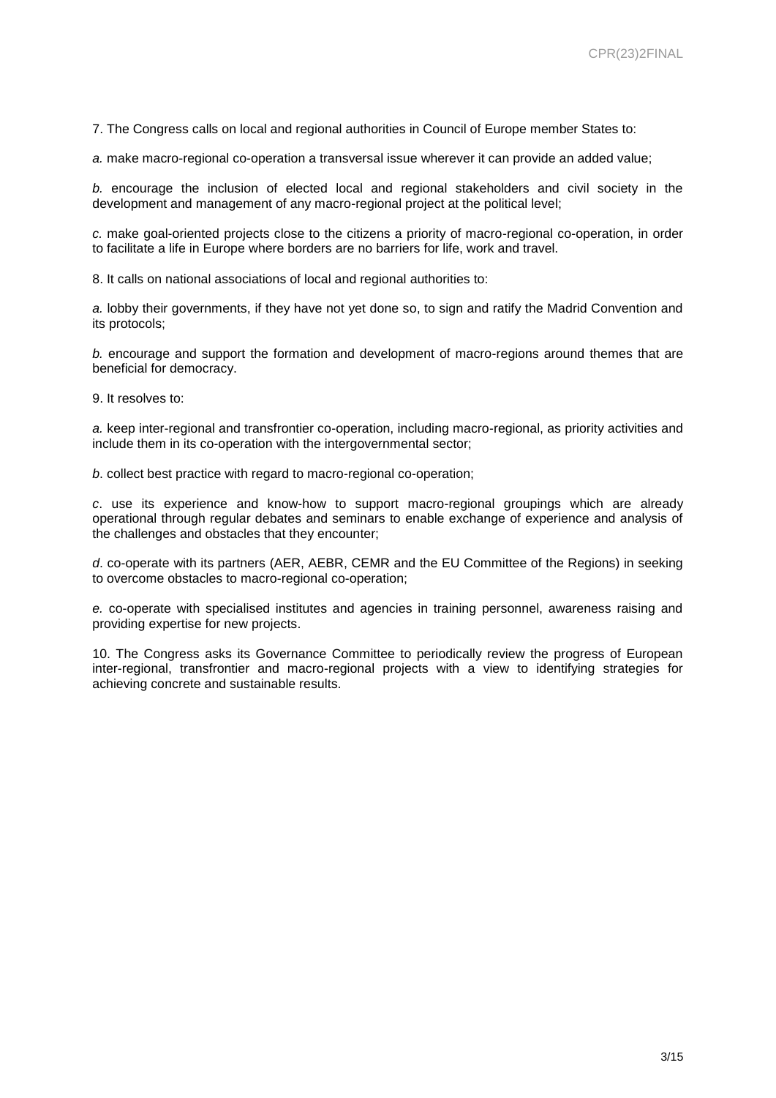7. The Congress calls on local and regional authorities in Council of Europe member States to:

*a.* make macro-regional co-operation a transversal issue wherever it can provide an added value;

*b.* encourage the inclusion of elected local and regional stakeholders and civil society in the development and management of any macro-regional project at the political level;

*c.* make goal-oriented projects close to the citizens a priority of macro-regional co-operation, in order to facilitate a life in Europe where borders are no barriers for life, work and travel.

8. It calls on national associations of local and regional authorities to:

*a.* lobby their governments, if they have not yet done so, to sign and ratify the Madrid Convention and its protocols;

*b.* encourage and support the formation and development of macro-regions around themes that are beneficial for democracy.

9. It resolves to:

*a.* keep inter-regional and transfrontier co-operation, including macro-regional, as priority activities and include them in its co-operation with the intergovernmental sector;

*b*. collect best practice with regard to macro-regional co-operation;

*c*. use its experience and know-how to support macro-regional groupings which are already operational through regular debates and seminars to enable exchange of experience and analysis of the challenges and obstacles that they encounter;

*d*. co-operate with its partners (AER, AEBR, CEMR and the EU Committee of the Regions) in seeking to overcome obstacles to macro-regional co-operation;

*e.* co-operate with specialised institutes and agencies in training personnel, awareness raising and providing expertise for new projects.

10. The Congress asks its Governance Committee to periodically review the progress of European inter-regional, transfrontier and macro-regional projects with a view to identifying strategies for achieving concrete and sustainable results.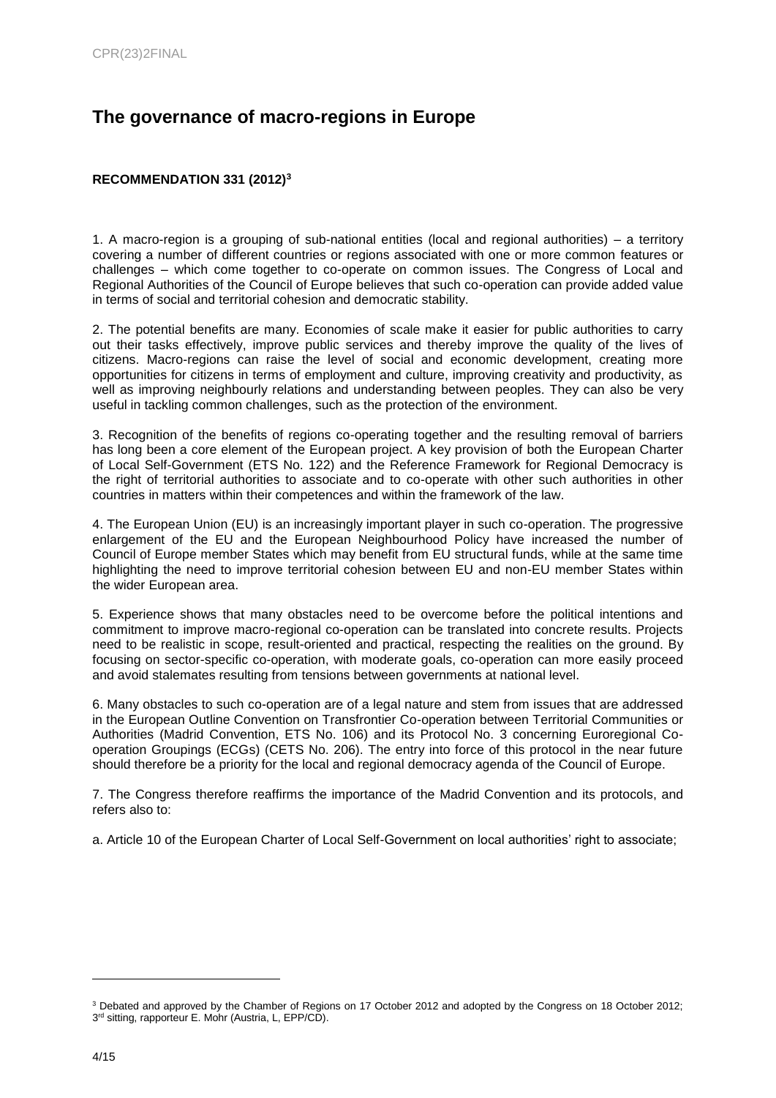## **The governance of macro-regions in Europe**

## <span id="page-3-0"></span>**RECOMMENDATION 331 (2012)<sup>3</sup>**

1. A macro-region is a grouping of sub-national entities (local and regional authorities) – a territory covering a number of different countries or regions associated with one or more common features or challenges – which come together to co-operate on common issues. The Congress of Local and Regional Authorities of the Council of Europe believes that such co-operation can provide added value in terms of social and territorial cohesion and democratic stability.

2. The potential benefits are many. Economies of scale make it easier for public authorities to carry out their tasks effectively, improve public services and thereby improve the quality of the lives of citizens. Macro-regions can raise the level of social and economic development, creating more opportunities for citizens in terms of employment and culture, improving creativity and productivity, as well as improving neighbourly relations and understanding between peoples. They can also be very useful in tackling common challenges, such as the protection of the environment.

3. Recognition of the benefits of regions co-operating together and the resulting removal of barriers has long been a core element of the European project. A key provision of both the European Charter of Local Self-Government (ETS No. 122) and the Reference Framework for Regional Democracy is the right of territorial authorities to associate and to co-operate with other such authorities in other countries in matters within their competences and within the framework of the law.

4. The European Union (EU) is an increasingly important player in such co-operation. The progressive enlargement of the EU and the European Neighbourhood Policy have increased the number of Council of Europe member States which may benefit from EU structural funds, while at the same time highlighting the need to improve territorial cohesion between EU and non-EU member States within the wider European area.

5. Experience shows that many obstacles need to be overcome before the political intentions and commitment to improve macro-regional co-operation can be translated into concrete results. Projects need to be realistic in scope, result-oriented and practical, respecting the realities on the ground. By focusing on sector-specific co-operation, with moderate goals, co-operation can more easily proceed and avoid stalemates resulting from tensions between governments at national level.

6. Many obstacles to such co-operation are of a legal nature and stem from issues that are addressed in the European Outline Convention on Transfrontier Co-operation between Territorial Communities or Authorities (Madrid Convention, ETS No. 106) and its Protocol No. 3 concerning Euroregional Cooperation Groupings (ECGs) (CETS No. 206). The entry into force of this protocol in the near future should therefore be a priority for the local and regional democracy agenda of the Council of Europe.

7. The Congress therefore reaffirms the importance of the Madrid Convention and its protocols, and refers also to:

a. Article 10 of the European Charter of Local Self-Government on local authorities' right to associate;

<sup>3</sup> Debated and approved by the Chamber of Regions on 17 October 2012 and adopted by the Congress on 18 October 2012; 3<sup>rd</sup> sitting, rapporteur E. Mohr (Austria, L, EPP/CD).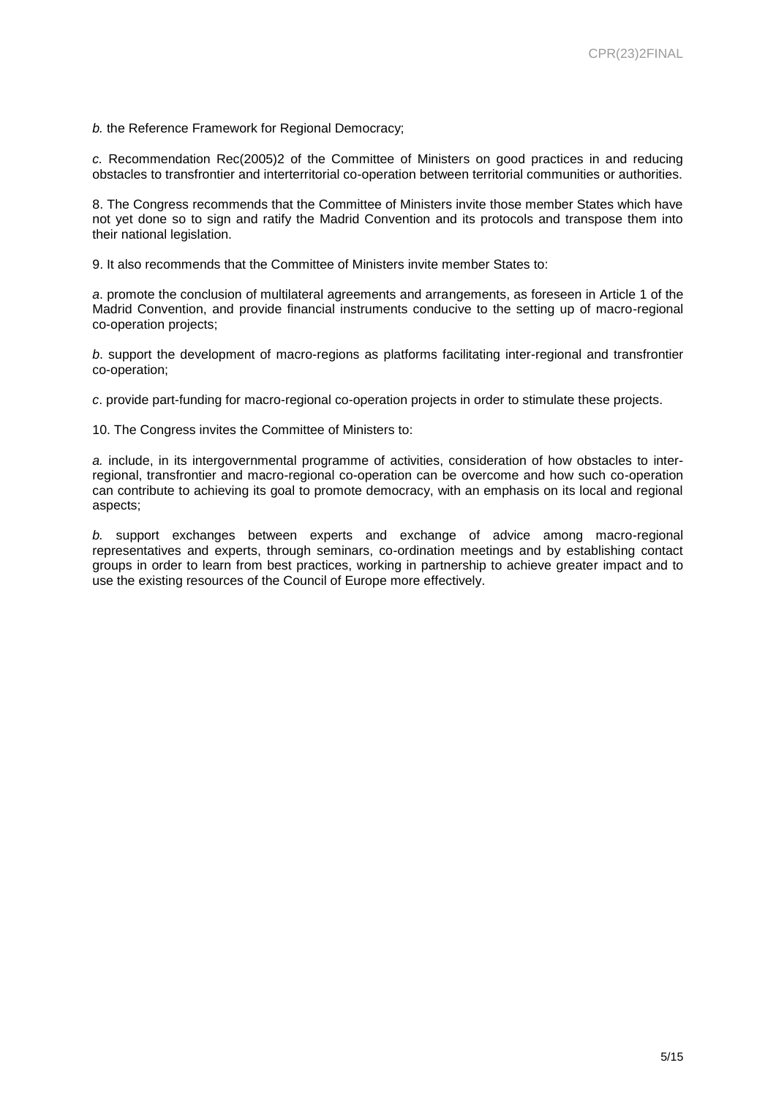*b.* the Reference Framework for Regional Democracy;

*c.* Recommendation Rec(2005)2 of the Committee of Ministers on good practices in and reducing obstacles to transfrontier and interterritorial co-operation between territorial communities or authorities.

8. The Congress recommends that the Committee of Ministers invite those member States which have not yet done so to sign and ratify the Madrid Convention and its protocols and transpose them into their national legislation.

9. It also recommends that the Committee of Ministers invite member States to:

*a*. promote the conclusion of multilateral agreements and arrangements, as foreseen in Article 1 of the Madrid Convention, and provide financial instruments conducive to the setting up of macro-regional co-operation projects;

*b*. support the development of macro-regions as platforms facilitating inter-regional and transfrontier co-operation;

*c*. provide part-funding for macro-regional co-operation projects in order to stimulate these projects.

10. The Congress invites the Committee of Ministers to:

*a.* include, in its intergovernmental programme of activities, consideration of how obstacles to interregional, transfrontier and macro-regional co-operation can be overcome and how such co-operation can contribute to achieving its goal to promote democracy, with an emphasis on its local and regional aspects;

*b.* support exchanges between experts and exchange of advice among macro-regional representatives and experts, through seminars, co-ordination meetings and by establishing contact groups in order to learn from best practices, working in partnership to achieve greater impact and to use the existing resources of the Council of Europe more effectively.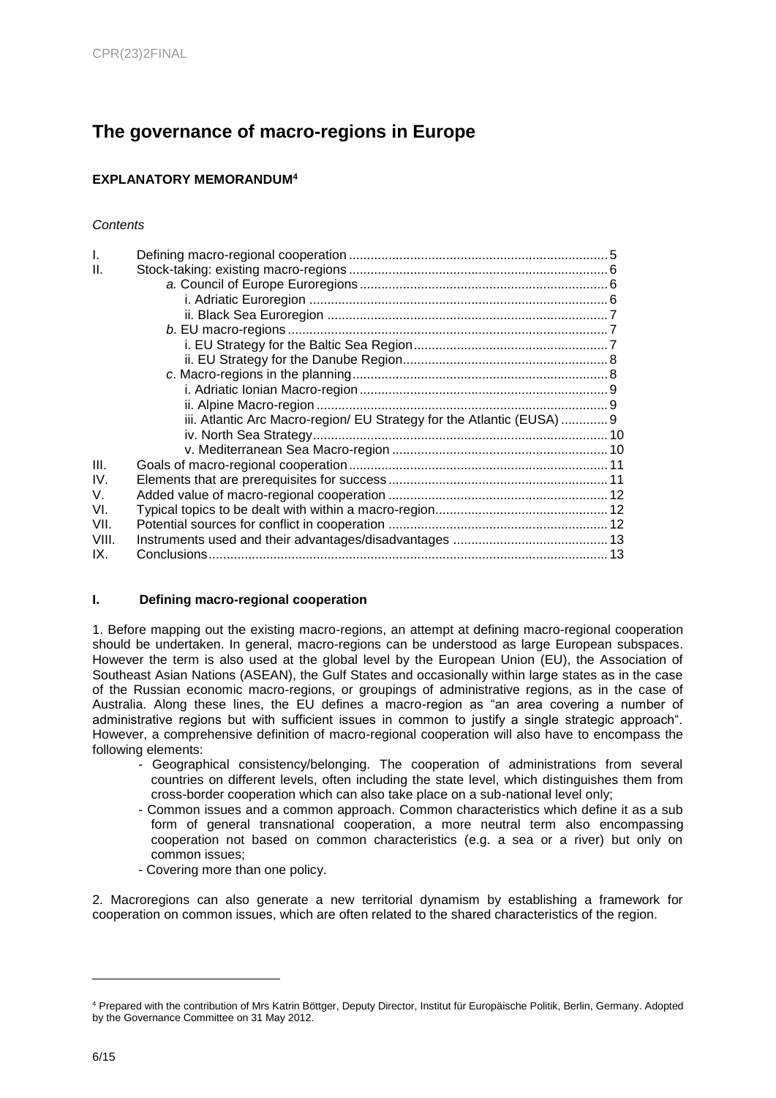# **The governance of macro-regions in Europe**

## <span id="page-5-0"></span>**EXPLANATORY MEMORANDUM<sup>4</sup>**

### *Contents*

| $\mathbf{I}$ . |                                                                       |  |
|----------------|-----------------------------------------------------------------------|--|
| H.             |                                                                       |  |
|                |                                                                       |  |
|                |                                                                       |  |
|                |                                                                       |  |
|                |                                                                       |  |
|                |                                                                       |  |
|                |                                                                       |  |
|                |                                                                       |  |
|                |                                                                       |  |
|                |                                                                       |  |
|                | iii. Atlantic Arc Macro-region/ EU Strategy for the Atlantic (EUSA) 9 |  |
|                |                                                                       |  |
|                |                                                                       |  |
| III.           |                                                                       |  |
| IV.            |                                                                       |  |
| V.             |                                                                       |  |
| VI.            |                                                                       |  |
| VII.           |                                                                       |  |
| VIII.          |                                                                       |  |
| IX.            |                                                                       |  |

## **I. Defining macro-regional cooperation**

1. Before mapping out the existing macro-regions, an attempt at defining macro-regional cooperation should be undertaken. In general, macro-regions can be understood as large European subspaces. However the term is also used at the global level by the European Union (EU), the Association of Southeast Asian Nations (ASEAN), the Gulf States and occasionally within large states as in the case of the Russian economic macro-regions, or groupings of administrative regions, as in the case of Australia. Along these lines, the EU defines a macro-region as "an area covering a number of administrative regions but with sufficient issues in common to justify a single strategic approach". However, a comprehensive definition of macro-regional cooperation will also have to encompass the following elements:

- Geographical consistency/belonging. The cooperation of administrations from several countries on different levels, often including the state level, which distinguishes them from cross-border cooperation which can also take place on a sub-national level only;
- Common issues and a common approach. Common characteristics which define it as a sub form of general transnational cooperation, a more neutral term also encompassing cooperation not based on common characteristics (e.g. a sea or a river) but only on common issues;
- Covering more than one policy.

2. Macroregions can also generate a new territorial dynamism by establishing a framework for cooperation on common issues, which are often related to the shared characteristics of the region.

<sup>4</sup> Prepared with the contribution of Mrs Katrin Böttger, Deputy Director, Institut für Europäische Politik, Berlin, Germany. Adopted by the Governance Committee on 31 May 2012.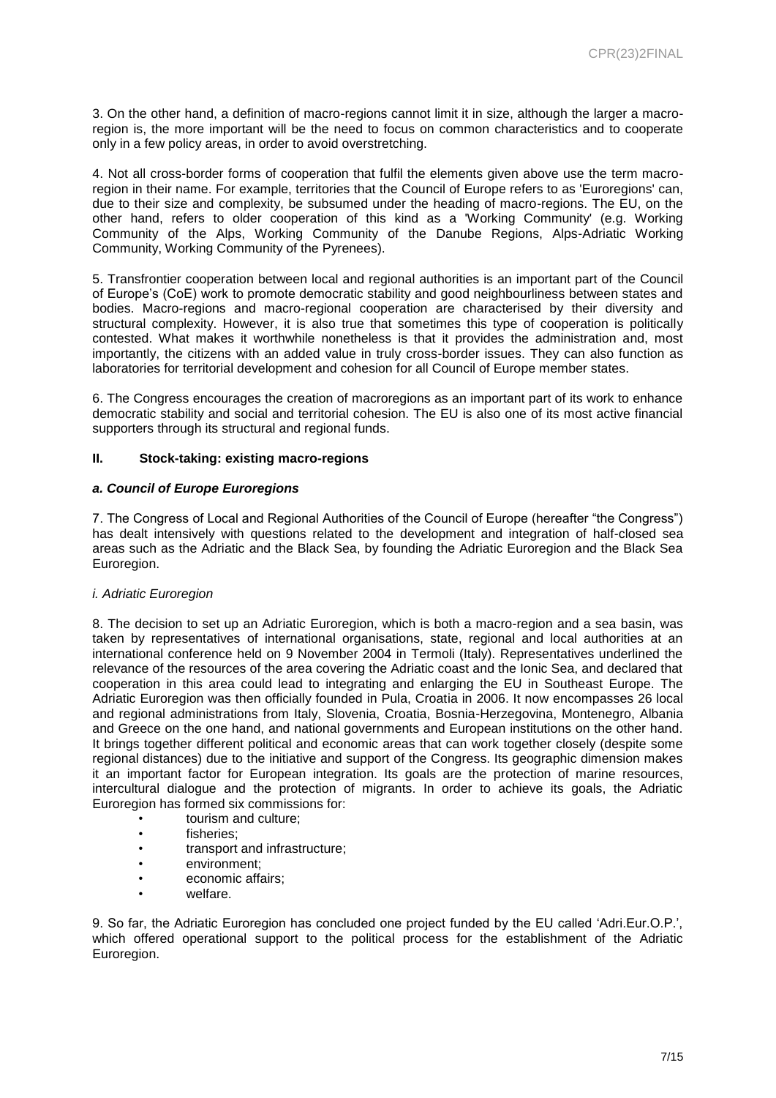3. On the other hand, a definition of macro-regions cannot limit it in size, although the larger a macroregion is, the more important will be the need to focus on common characteristics and to cooperate only in a few policy areas, in order to avoid overstretching.

4. Not all cross-border forms of cooperation that fulfil the elements given above use the term macroregion in their name. For example, territories that the Council of Europe refers to as 'Euroregions' can, due to their size and complexity, be subsumed under the heading of macro-regions. The EU, on the other hand, refers to older cooperation of this kind as a 'Working Community' (e.g. Working Community of the Alps, Working Community of the Danube Regions, Alps-Adriatic Working Community, Working Community of the Pyrenees).

5. Transfrontier cooperation between local and regional authorities is an important part of the Council of Europe's (CoE) work to promote democratic stability and good neighbourliness between states and bodies. Macro-regions and macro-regional cooperation are characterised by their diversity and structural complexity. However, it is also true that sometimes this type of cooperation is politically contested. What makes it worthwhile nonetheless is that it provides the administration and, most importantly, the citizens with an added value in truly cross-border issues. They can also function as laboratories for territorial development and cohesion for all Council of Europe member states.

6. The Congress encourages the creation of macroregions as an important part of its work to enhance democratic stability and social and territorial cohesion. The EU is also one of its most active financial supporters through its structural and regional funds.

#### **II. Stock-taking: existing macro-regions**

#### *a. Council of Europe Euroregions*

7. The Congress of Local and Regional Authorities of the Council of Europe (hereafter "the Congress") has dealt intensively with questions related to the development and integration of half-closed sea areas such as the Adriatic and the Black Sea, by founding the Adriatic Euroregion and the Black Sea Euroregion.

#### *i. Adriatic Euroregion*

8. The decision to set up an Adriatic Euroregion, which is both a macro-region and a sea basin, was taken by representatives of international organisations, state, regional and local authorities at an international conference held on 9 November 2004 in Termoli (Italy). Representatives underlined the relevance of the resources of the area covering the Adriatic coast and the Ionic Sea, and declared that cooperation in this area could lead to integrating and enlarging the EU in Southeast Europe. The Adriatic Euroregion was then officially founded in Pula, Croatia in 2006. It now encompasses 26 local and regional administrations from Italy, Slovenia, Croatia, Bosnia-Herzegovina, Montenegro, Albania and Greece on the one hand, and national governments and European institutions on the other hand. It brings together different political and economic areas that can work together closely (despite some regional distances) due to the initiative and support of the Congress. Its geographic dimension makes it an important factor for European integration. Its goals are the protection of marine resources, intercultural dialogue and the protection of migrants. In order to achieve its goals, the Adriatic Euroregion has formed six commissions for:

- tourism and culture;
- fisheries;
- transport and infrastructure;
- environment;
- economic affairs;
- welfare.

9. So far, the Adriatic Euroregion has concluded one project funded by the EU called 'Adri.Eur.O.P.', which offered operational support to the political process for the establishment of the Adriatic Euroregion.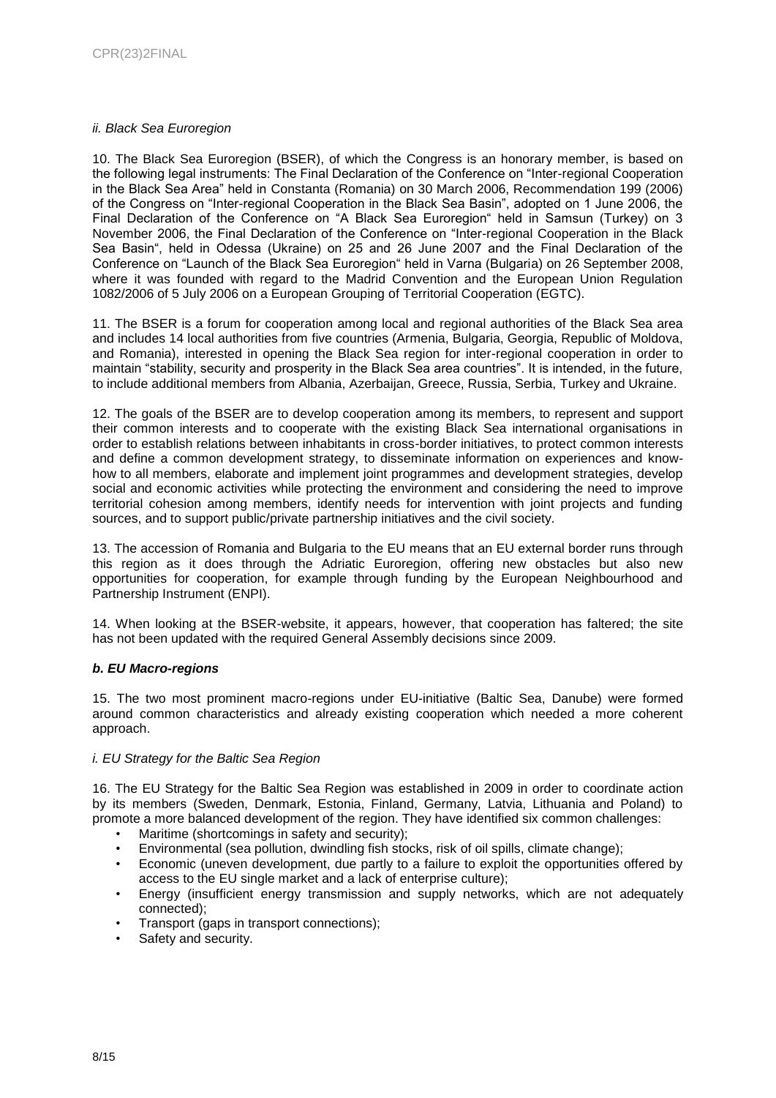#### *ii. Black Sea Euroregion*

10. The Black Sea Euroregion (BSER), of which the Congress is an honorary member, is based on the following legal instruments: The Final Declaration of the Conference on "Inter-regional Cooperation in the Black Sea Area" held in Constanta (Romania) on 30 March 2006, Recommendation 199 (2006) of the Congress on "Inter-regional Cooperation in the Black Sea Basin", adopted on 1 June 2006, the Final Declaration of the Conference on "A Black Sea Euroregion" held in Samsun (Turkey) on 3 November 2006, the Final Declaration of the Conference on "Inter-regional Cooperation in the Black Sea Basin", held in Odessa (Ukraine) on 25 and 26 June 2007 and the Final Declaration of the Conference on "Launch of the Black Sea Euroregion" held in Varna (Bulgaria) on 26 September 2008, where it was founded with regard to the Madrid Convention and the European Union Regulation 1082/2006 of 5 July 2006 on a European Grouping of Territorial Cooperation (EGTC).

11. The BSER is a forum for cooperation among local and regional authorities of the Black Sea area and includes 14 local authorities from five countries (Armenia, Bulgaria, Georgia, Republic of Moldova, and Romania), interested in opening the Black Sea region for inter-regional cooperation in order to maintain "stability, security and prosperity in the Black Sea area countries". It is intended, in the future, to include additional members from Albania, Azerbaijan, Greece, Russia, Serbia, Turkey and Ukraine.

12. The goals of the BSER are to develop cooperation among its members, to represent and support their common interests and to cooperate with the existing Black Sea international organisations in order to establish relations between inhabitants in cross-border initiatives, to protect common interests and define a common development strategy, to disseminate information on experiences and knowhow to all members, elaborate and implement joint programmes and development strategies, develop social and economic activities while protecting the environment and considering the need to improve territorial cohesion among members, identify needs for intervention with joint projects and funding sources, and to support public/private partnership initiatives and the civil society.

13. The accession of Romania and Bulgaria to the EU means that an EU external border runs through this region as it does through the Adriatic Euroregion, offering new obstacles but also new opportunities for cooperation, for example through funding by the European Neighbourhood and Partnership Instrument (ENPI).

14. When looking at the BSER-website, it appears, however, that cooperation has faltered; the site has not been updated with the required General Assembly decisions since 2009.

#### *b. EU Macro-regions*

15. The two most prominent macro-regions under EU-initiative (Baltic Sea, Danube) were formed around common characteristics and already existing cooperation which needed a more coherent approach.

#### *i. EU Strategy for the Baltic Sea Region*

16. The EU Strategy for the Baltic Sea Region was established in 2009 in order to coordinate action by its members (Sweden, Denmark, Estonia, Finland, Germany, Latvia, Lithuania and Poland) to promote a more balanced development of the region. They have identified six common challenges:

- Maritime (shortcomings in safety and security);
- Environmental (sea pollution, dwindling fish stocks, risk of oil spills, climate change);
- Economic (uneven development, due partly to a failure to exploit the opportunities offered by access to the EU single market and a lack of enterprise culture);
- Energy (insufficient energy transmission and supply networks, which are not adequately connected);
- Transport (gaps in transport connections);
- Safety and security.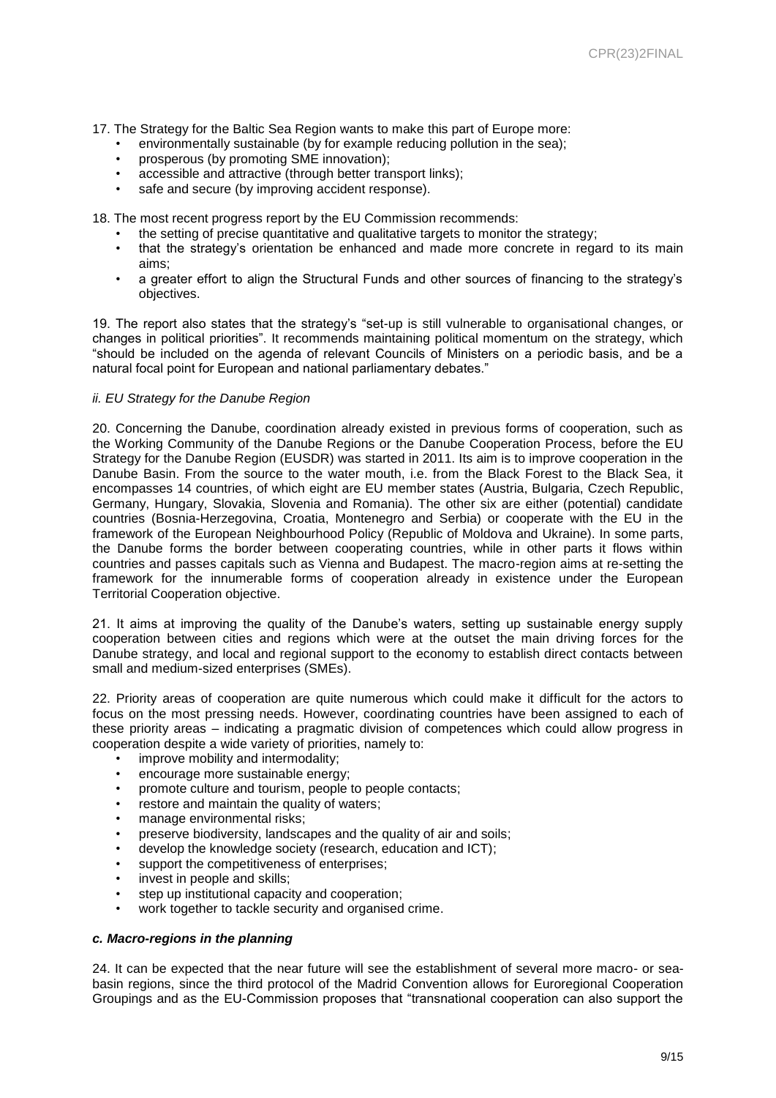- 17. The Strategy for the Baltic Sea Region wants to make this part of Europe more:
	- environmentally sustainable (by for example reducing pollution in the sea);
	- prosperous (by promoting SME innovation);
	- accessible and attractive (through better transport links);
	- safe and secure (by improving accident response).

18. The most recent progress report by the EU Commission recommends:

- the setting of precise quantitative and qualitative targets to monitor the strategy;
- that the strategy's orientation be enhanced and made more concrete in regard to its main aims;
- a greater effort to align the Structural Funds and other sources of financing to the strategy's objectives.

19. The report also states that the strategy's "set-up is still vulnerable to organisational changes, or changes in political priorities". It recommends maintaining political momentum on the strategy, which "should be included on the agenda of relevant Councils of Ministers on a periodic basis, and be a natural focal point for European and national parliamentary debates."

#### *ii. EU Strategy for the Danube Region*

20. Concerning the Danube, coordination already existed in previous forms of cooperation, such as the Working Community of the Danube Regions or the Danube Cooperation Process, before the EU Strategy for the Danube Region (EUSDR) was started in 2011. Its aim is to improve cooperation in the Danube Basin. From the source to the water mouth, i.e. from the Black Forest to the Black Sea, it encompasses 14 countries, of which eight are EU member states (Austria, Bulgaria, Czech Republic, Germany, Hungary, Slovakia, Slovenia and Romania). The other six are either (potential) candidate countries (Bosnia-Herzegovina, Croatia, Montenegro and Serbia) or cooperate with the EU in the framework of the European Neighbourhood Policy (Republic of Moldova and Ukraine). In some parts, the Danube forms the border between cooperating countries, while in other parts it flows within countries and passes capitals such as Vienna and Budapest. The macro-region aims at re-setting the framework for the innumerable forms of cooperation already in existence under the European Territorial Cooperation objective.

21. It aims at improving the quality of the Danube's waters, setting up sustainable energy supply cooperation between cities and regions which were at the outset the main driving forces for the Danube strategy, and local and regional support to the economy to establish direct contacts between small and medium-sized enterprises (SMEs).

22. Priority areas of cooperation are quite numerous which could make it difficult for the actors to focus on the most pressing needs. However, coordinating countries have been assigned to each of these priority areas – indicating a pragmatic division of competences which could allow progress in cooperation despite a wide variety of priorities, namely to:

- improve mobility and intermodality;
- encourage more sustainable energy;
- promote culture and tourism, people to people contacts;
- restore and maintain the quality of waters;
- manage environmental risks;
- preserve biodiversity, landscapes and the quality of air and soils;
- develop the knowledge society (research, education and ICT);
- support the competitiveness of enterprises;
- invest in people and skills:
- step up institutional capacity and cooperation:
- work together to tackle security and organised crime.

#### *c. Macro-regions in the planning*

24. It can be expected that the near future will see the establishment of several more macro- or seabasin regions, since the third protocol of the Madrid Convention allows for Euroregional Cooperation Groupings and as the EU-Commission proposes that "transnational cooperation can also support the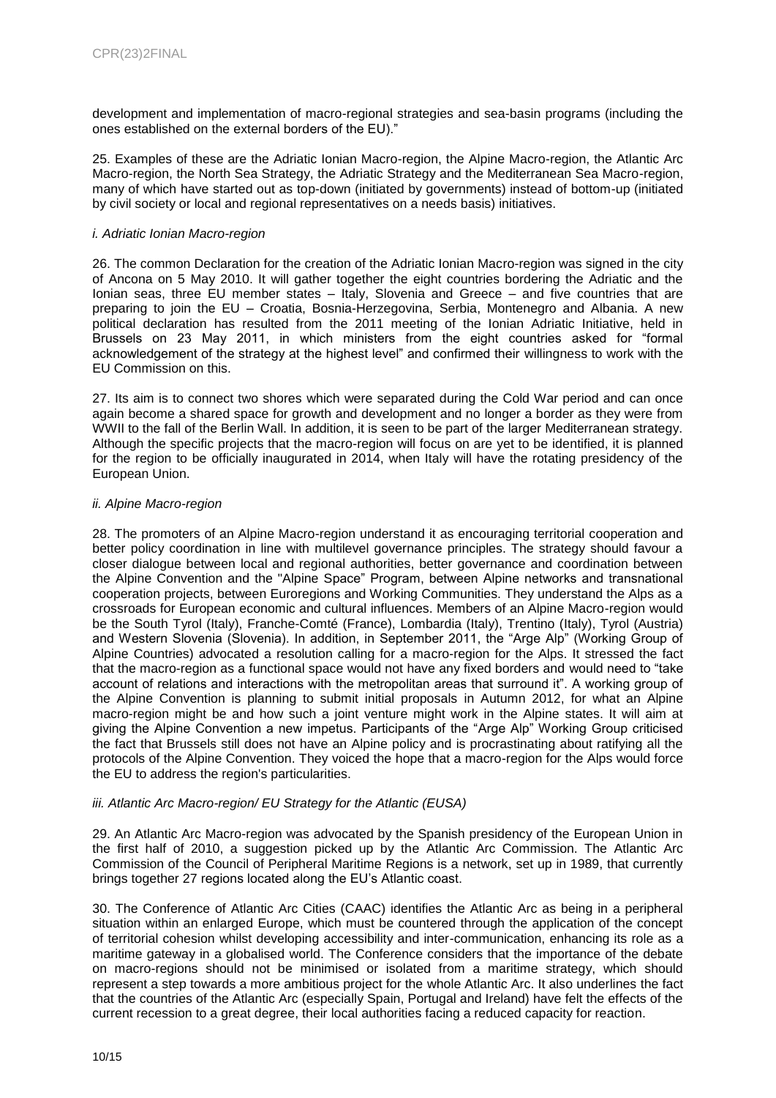development and implementation of macro-regional strategies and sea-basin programs (including the ones established on the external borders of the EU)."

25. Examples of these are the Adriatic Ionian Macro-region, the Alpine Macro-region, the Atlantic Arc Macro-region, the North Sea Strategy, the Adriatic Strategy and the Mediterranean Sea Macro-region, many of which have started out as top-down (initiated by governments) instead of bottom-up (initiated by civil society or local and regional representatives on a needs basis) initiatives.

#### *i. Adriatic Ionian Macro-region*

26. The common Declaration for the creation of the Adriatic Ionian Macro-region was signed in the city of Ancona on 5 May 2010. It will gather together the eight countries bordering the Adriatic and the Ionian seas, three EU member states – Italy, Slovenia and Greece – and five countries that are preparing to join the EU – Croatia, Bosnia-Herzegovina, Serbia, Montenegro and Albania. A new political declaration has resulted from the 2011 meeting of the Ionian Adriatic Initiative, held in Brussels on 23 May 2011, in which ministers from the eight countries asked for "formal acknowledgement of the strategy at the highest level" and confirmed their willingness to work with the EU Commission on this.

27. Its aim is to connect two shores which were separated during the Cold War period and can once again become a shared space for growth and development and no longer a border as they were from WWII to the fall of the Berlin Wall. In addition, it is seen to be part of the larger Mediterranean strategy. Although the specific projects that the macro-region will focus on are yet to be identified, it is planned for the region to be officially inaugurated in 2014, when Italy will have the rotating presidency of the European Union.

#### *ii. Alpine Macro-region*

28. The promoters of an Alpine Macro-region understand it as encouraging territorial cooperation and better policy coordination in line with multilevel governance principles. The strategy should favour a closer dialogue between local and regional authorities, better governance and coordination between the Alpine Convention and the "Alpine Space" Program, between Alpine networks and transnational cooperation projects, between Euroregions and Working Communities. They understand the Alps as a crossroads for European economic and cultural influences. Members of an Alpine Macro-region would be the South Tyrol (Italy), Franche-Comté (France), Lombardia (Italy), Trentino (Italy), Tyrol (Austria) and Western Slovenia (Slovenia). In addition, in September 2011, the "Arge Alp" (Working Group of Alpine Countries) advocated a resolution calling for a macro-region for the Alps. It stressed the fact that the macro-region as a functional space would not have any fixed borders and would need to "take account of relations and interactions with the metropolitan areas that surround it". A working group of the Alpine Convention is planning to submit initial proposals in Autumn 2012, for what an Alpine macro-region might be and how such a joint venture might work in the Alpine states. It will aim at giving the Alpine Convention a new impetus. Participants of the "Arge Alp" Working Group criticised the fact that Brussels still does not have an Alpine policy and is procrastinating about ratifying all the protocols of the Alpine Convention. They voiced the hope that a macro-region for the Alps would force the EU to address the region's particularities.

## *iii. Atlantic Arc Macro-region/ EU Strategy for the Atlantic (EUSA)*

29. An Atlantic Arc Macro-region was advocated by the Spanish presidency of the European Union in the first half of 2010, a suggestion picked up by the Atlantic Arc Commission. The Atlantic Arc Commission of the Council of Peripheral Maritime Regions is a network, set up in 1989, that currently brings together 27 regions located along the EU's Atlantic coast.

30. The Conference of Atlantic Arc Cities (CAAC) identifies the Atlantic Arc as being in a peripheral situation within an enlarged Europe, which must be countered through the application of the concept of territorial cohesion whilst developing accessibility and inter-communication, enhancing its role as a maritime gateway in a globalised world. The Conference considers that the importance of the debate on macro-regions should not be minimised or isolated from a maritime strategy, which should represent a step towards a more ambitious project for the whole Atlantic Arc. It also underlines the fact that the countries of the Atlantic Arc (especially Spain, Portugal and Ireland) have felt the effects of the current recession to a great degree, their local authorities facing a reduced capacity for reaction.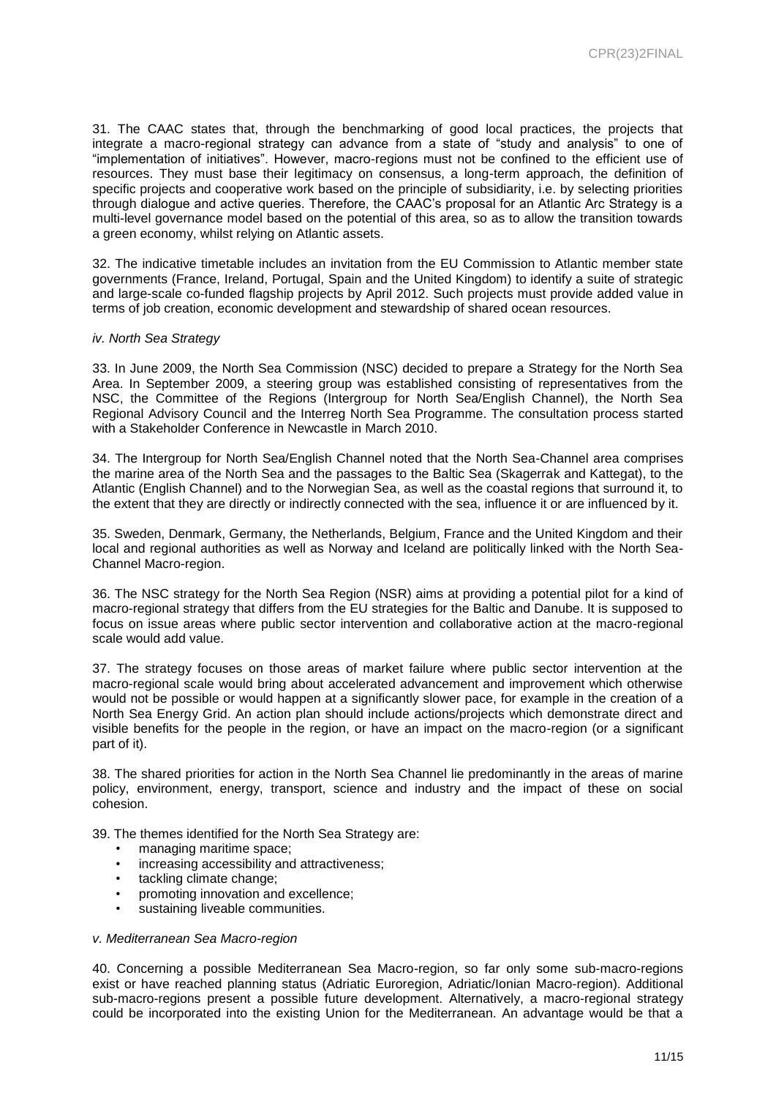31. The CAAC states that, through the benchmarking of good local practices, the projects that integrate a macro-regional strategy can advance from a state of "study and analysis" to one of "implementation of initiatives". However, macro-regions must not be confined to the efficient use of resources. They must base their legitimacy on consensus, a long-term approach, the definition of specific projects and cooperative work based on the principle of subsidiarity, i.e. by selecting priorities through dialogue and active queries. Therefore, the CAAC's proposal for an Atlantic Arc Strategy is a multi-level governance model based on the potential of this area, so as to allow the transition towards a green economy, whilst relying on Atlantic assets.

32. The indicative timetable includes an invitation from the EU Commission to Atlantic member state governments (France, Ireland, Portugal, Spain and the United Kingdom) to identify a suite of strategic and large-scale co-funded flagship projects by April 2012. Such projects must provide added value in terms of job creation, economic development and stewardship of shared ocean resources.

#### *iv. North Sea Strategy*

33. In June 2009, the North Sea Commission (NSC) decided to prepare a Strategy for the North Sea Area. In September 2009, a steering group was established consisting of representatives from the NSC, the Committee of the Regions (Intergroup for North Sea/English Channel), the North Sea Regional Advisory Council and the Interreg North Sea Programme. The consultation process started with a Stakeholder Conference in Newcastle in March 2010.

34. The Intergroup for North Sea/English Channel noted that the North Sea-Channel area comprises the marine area of the North Sea and the passages to the Baltic Sea (Skagerrak and Kattegat), to the Atlantic (English Channel) and to the Norwegian Sea, as well as the coastal regions that surround it, to the extent that they are directly or indirectly connected with the sea, influence it or are influenced by it.

35. Sweden, Denmark, Germany, the Netherlands, Belgium, France and the United Kingdom and their local and regional authorities as well as Norway and Iceland are politically linked with the North Sea-Channel Macro-region.

36. The NSC strategy for the North Sea Region (NSR) aims at providing a potential pilot for a kind of macro-regional strategy that differs from the EU strategies for the Baltic and Danube. It is supposed to focus on issue areas where public sector intervention and collaborative action at the macro-regional scale would add value.

37. The strategy focuses on those areas of market failure where public sector intervention at the macro-regional scale would bring about accelerated advancement and improvement which otherwise would not be possible or would happen at a significantly slower pace, for example in the creation of a North Sea Energy Grid. An action plan should include actions/projects which demonstrate direct and visible benefits for the people in the region, or have an impact on the macro-region (or a significant part of it).

38. The shared priorities for action in the North Sea Channel lie predominantly in the areas of marine policy, environment, energy, transport, science and industry and the impact of these on social cohesion.

39. The themes identified for the North Sea Strategy are:

- managing maritime space;
- increasing accessibility and attractiveness;
- tackling climate change:
- promoting innovation and excellence;
- sustaining liveable communities.

#### *v. Mediterranean Sea Macro-region*

40. Concerning a possible Mediterranean Sea Macro-region, so far only some sub-macro-regions exist or have reached planning status (Adriatic Euroregion, Adriatic/Ionian Macro-region). Additional sub-macro-regions present a possible future development. Alternatively, a macro-regional strategy could be incorporated into the existing Union for the Mediterranean. An advantage would be that a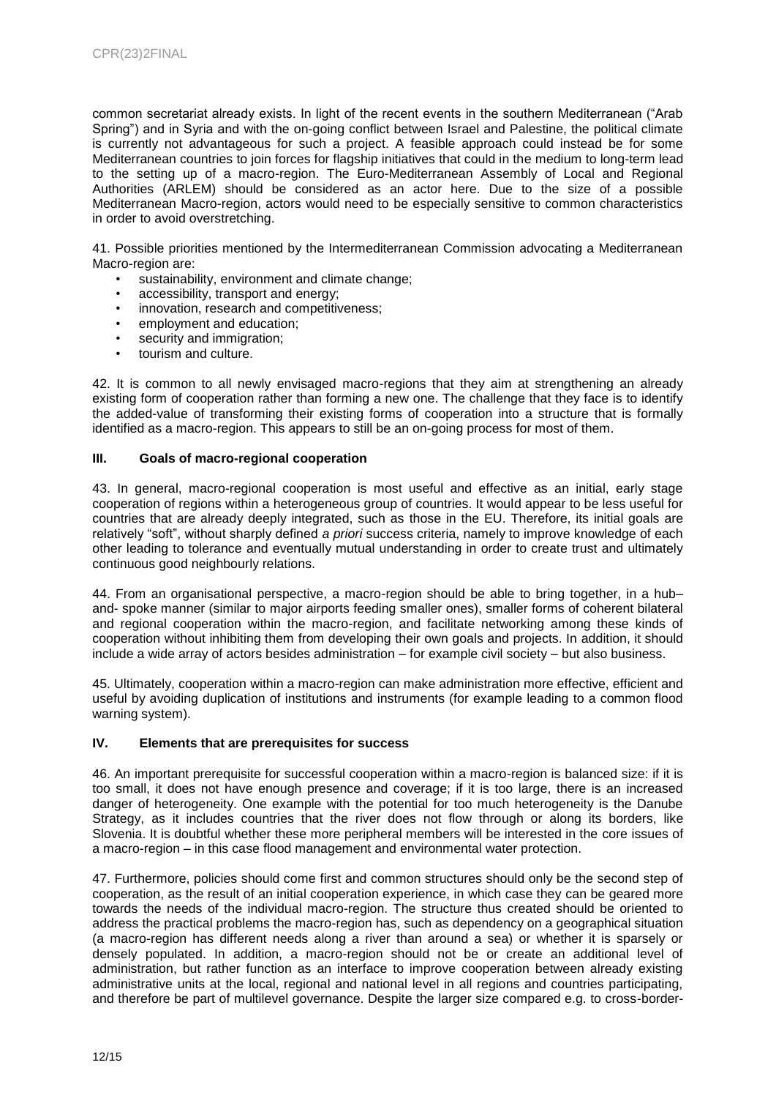common secretariat already exists. In light of the recent events in the southern Mediterranean ("Arab Spring") and in Syria and with the on-going conflict between Israel and Palestine, the political climate is currently not advantageous for such a project. A feasible approach could instead be for some Mediterranean countries to join forces for flagship initiatives that could in the medium to long-term lead to the setting up of a macro-region. The Euro-Mediterranean Assembly of Local and Regional Authorities (ARLEM) should be considered as an actor here. Due to the size of a possible Mediterranean Macro-region, actors would need to be especially sensitive to common characteristics in order to avoid overstretching.

41. Possible priorities mentioned by the Intermediterranean Commission advocating a Mediterranean Macro-region are:

- sustainability, environment and climate change;
- accessibility, transport and energy;
- innovation, research and competitiveness;
- employment and education;
- security and immigration;
- tourism and culture.

42. It is common to all newly envisaged macro-regions that they aim at strengthening an already existing form of cooperation rather than forming a new one. The challenge that they face is to identify the added-value of transforming their existing forms of cooperation into a structure that is formally identified as a macro-region. This appears to still be an on-going process for most of them.

#### **III. Goals of macro-regional cooperation**

43. In general, macro-regional cooperation is most useful and effective as an initial, early stage cooperation of regions within a heterogeneous group of countries. It would appear to be less useful for countries that are already deeply integrated, such as those in the EU. Therefore, its initial goals are relatively "soft", without sharply defined *a priori* success criteria, namely to improve knowledge of each other leading to tolerance and eventually mutual understanding in order to create trust and ultimately continuous good neighbourly relations.

44. From an organisational perspective, a macro-region should be able to bring together, in a hub– and- spoke manner (similar to major airports feeding smaller ones), smaller forms of coherent bilateral and regional cooperation within the macro-region, and facilitate networking among these kinds of cooperation without inhibiting them from developing their own goals and projects. In addition, it should include a wide array of actors besides administration – for example civil society – but also business.

45. Ultimately, cooperation within a macro-region can make administration more effective, efficient and useful by avoiding duplication of institutions and instruments (for example leading to a common flood warning system).

#### **IV. Elements that are prerequisites for success**

46. An important prerequisite for successful cooperation within a macro-region is balanced size: if it is too small, it does not have enough presence and coverage; if it is too large, there is an increased danger of heterogeneity. One example with the potential for too much heterogeneity is the Danube Strategy, as it includes countries that the river does not flow through or along its borders, like Slovenia. It is doubtful whether these more peripheral members will be interested in the core issues of a macro-region – in this case flood management and environmental water protection.

47. Furthermore, policies should come first and common structures should only be the second step of cooperation, as the result of an initial cooperation experience, in which case they can be geared more towards the needs of the individual macro-region. The structure thus created should be oriented to address the practical problems the macro-region has, such as dependency on a geographical situation (a macro-region has different needs along a river than around a sea) or whether it is sparsely or densely populated. In addition, a macro-region should not be or create an additional level of administration, but rather function as an interface to improve cooperation between already existing administrative units at the local, regional and national level in all regions and countries participating, and therefore be part of multilevel governance. Despite the larger size compared e.g. to cross-border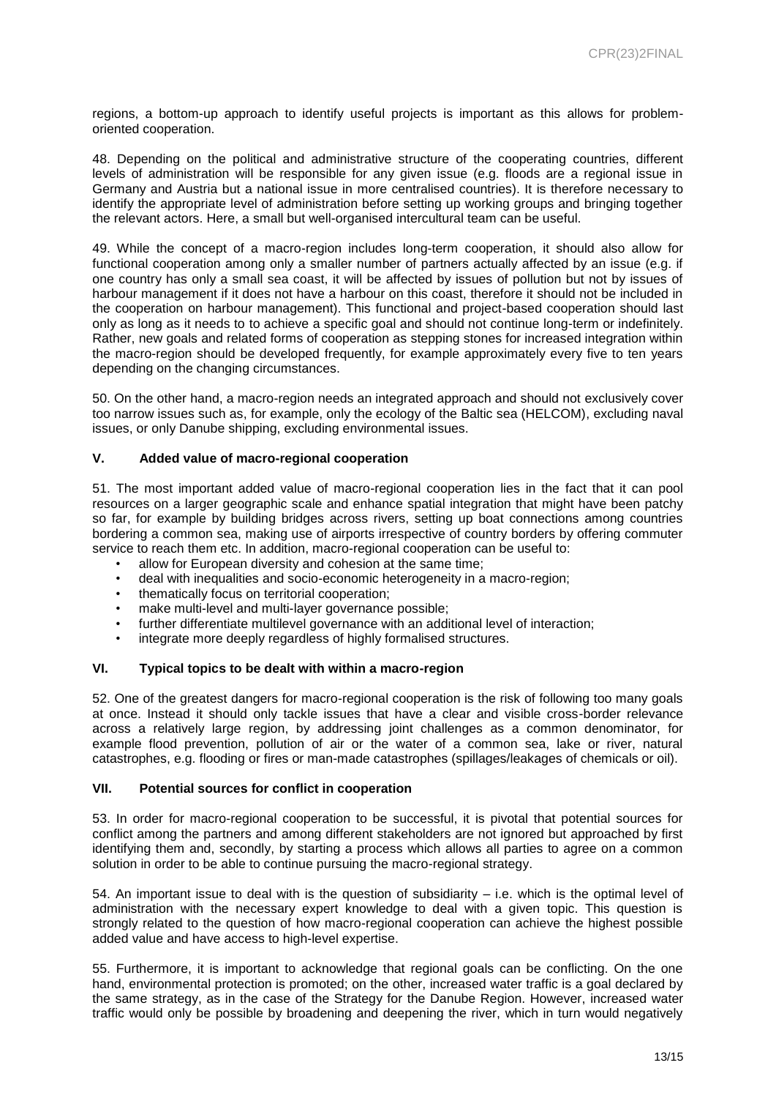regions, a bottom-up approach to identify useful projects is important as this allows for problemoriented cooperation.

48. Depending on the political and administrative structure of the cooperating countries, different levels of administration will be responsible for any given issue (e.g. floods are a regional issue in Germany and Austria but a national issue in more centralised countries). It is therefore necessary to identify the appropriate level of administration before setting up working groups and bringing together the relevant actors. Here, a small but well-organised intercultural team can be useful.

49. While the concept of a macro-region includes long-term cooperation, it should also allow for functional cooperation among only a smaller number of partners actually affected by an issue (e.g. if one country has only a small sea coast, it will be affected by issues of pollution but not by issues of harbour management if it does not have a harbour on this coast, therefore it should not be included in the cooperation on harbour management). This functional and project-based cooperation should last only as long as it needs to to achieve a specific goal and should not continue long-term or indefinitely. Rather, new goals and related forms of cooperation as stepping stones for increased integration within the macro-region should be developed frequently, for example approximately every five to ten years depending on the changing circumstances.

50. On the other hand, a macro-region needs an integrated approach and should not exclusively cover too narrow issues such as, for example, only the ecology of the Baltic sea (HELCOM), excluding naval issues, or only Danube shipping, excluding environmental issues.

#### **V. Added value of macro-regional cooperation**

51. The most important added value of macro-regional cooperation lies in the fact that it can pool resources on a larger geographic scale and enhance spatial integration that might have been patchy so far, for example by building bridges across rivers, setting up boat connections among countries bordering a common sea, making use of airports irrespective of country borders by offering commuter service to reach them etc. In addition, macro-regional cooperation can be useful to:

- allow for European diversity and cohesion at the same time;
- deal with inequalities and socio-economic heterogeneity in a macro-region;
- thematically focus on territorial cooperation;
- make multi-level and multi-layer governance possible;
- further differentiate multilevel governance with an additional level of interaction;
- integrate more deeply regardless of highly formalised structures.

#### **VI. Typical topics to be dealt with within a macro-region**

52. One of the greatest dangers for macro-regional cooperation is the risk of following too many goals at once. Instead it should only tackle issues that have a clear and visible cross-border relevance across a relatively large region, by addressing joint challenges as a common denominator, for example flood prevention, pollution of air or the water of a common sea, lake or river, natural catastrophes, e.g. flooding or fires or man-made catastrophes (spillages/leakages of chemicals or oil).

#### **VII. Potential sources for conflict in cooperation**

53. In order for macro-regional cooperation to be successful, it is pivotal that potential sources for conflict among the partners and among different stakeholders are not ignored but approached by first identifying them and, secondly, by starting a process which allows all parties to agree on a common solution in order to be able to continue pursuing the macro-regional strategy.

54. An important issue to deal with is the question of subsidiarity – i.e. which is the optimal level of administration with the necessary expert knowledge to deal with a given topic. This question is strongly related to the question of how macro-regional cooperation can achieve the highest possible added value and have access to high-level expertise.

55. Furthermore, it is important to acknowledge that regional goals can be conflicting. On the one hand, environmental protection is promoted; on the other, increased water traffic is a goal declared by the same strategy, as in the case of the Strategy for the Danube Region. However, increased water traffic would only be possible by broadening and deepening the river, which in turn would negatively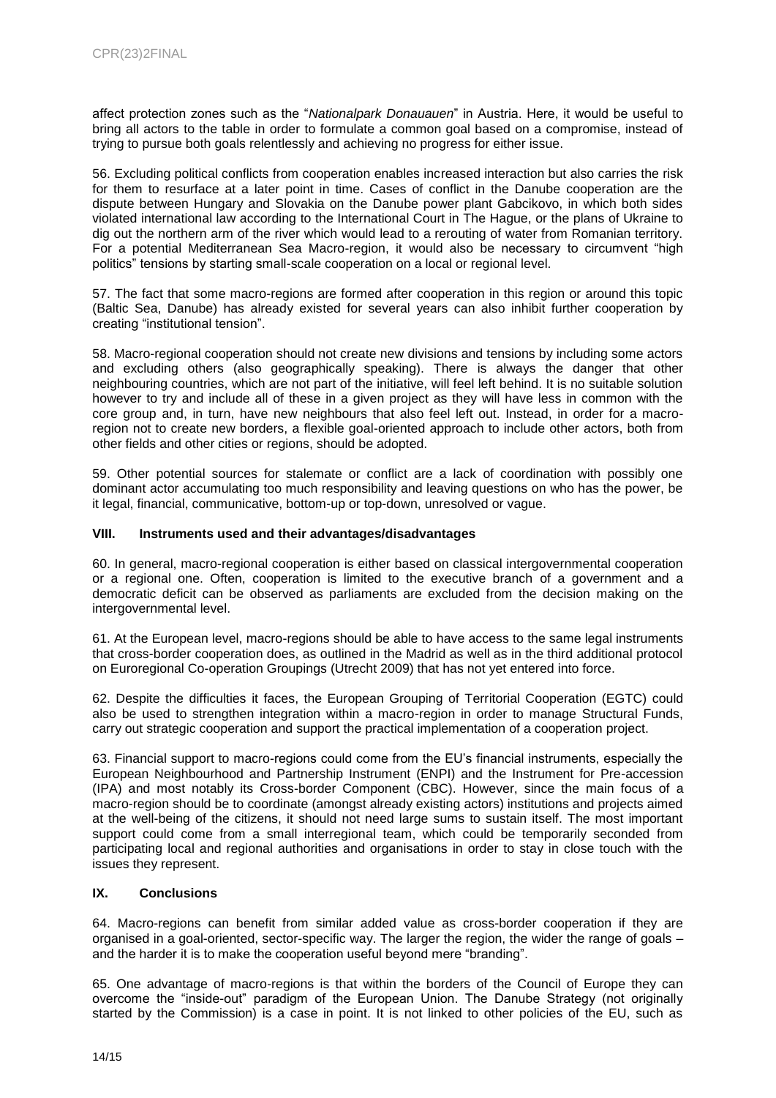affect protection zones such as the "*Nationalpark Donauauen*" in Austria. Here, it would be useful to bring all actors to the table in order to formulate a common goal based on a compromise, instead of trying to pursue both goals relentlessly and achieving no progress for either issue.

56. Excluding political conflicts from cooperation enables increased interaction but also carries the risk for them to resurface at a later point in time. Cases of conflict in the Danube cooperation are the dispute between Hungary and Slovakia on the Danube power plant Gabcikovo, in which both sides violated international law according to the International Court in The Hague, or the plans of Ukraine to dig out the northern arm of the river which would lead to a rerouting of water from Romanian territory. For a potential Mediterranean Sea Macro-region, it would also be necessary to circumvent "high politics" tensions by starting small-scale cooperation on a local or regional level.

57. The fact that some macro-regions are formed after cooperation in this region or around this topic (Baltic Sea, Danube) has already existed for several years can also inhibit further cooperation by creating "institutional tension".

58. Macro-regional cooperation should not create new divisions and tensions by including some actors and excluding others (also geographically speaking). There is always the danger that other neighbouring countries, which are not part of the initiative, will feel left behind. It is no suitable solution however to try and include all of these in a given project as they will have less in common with the core group and, in turn, have new neighbours that also feel left out. Instead, in order for a macroregion not to create new borders, a flexible goal-oriented approach to include other actors, both from other fields and other cities or regions, should be adopted.

59. Other potential sources for stalemate or conflict are a lack of coordination with possibly one dominant actor accumulating too much responsibility and leaving questions on who has the power, be it legal, financial, communicative, bottom-up or top-down, unresolved or vague.

#### **VIII. Instruments used and their advantages/disadvantages**

60. In general, macro-regional cooperation is either based on classical intergovernmental cooperation or a regional one. Often, cooperation is limited to the executive branch of a government and a democratic deficit can be observed as parliaments are excluded from the decision making on the intergovernmental level.

61. At the European level, macro-regions should be able to have access to the same legal instruments that cross-border cooperation does, as outlined in the Madrid as well as in the third additional protocol on Euroregional Co-operation Groupings (Utrecht 2009) that has not yet entered into force.

62. Despite the difficulties it faces, the European Grouping of Territorial Cooperation (EGTC) could also be used to strengthen integration within a macro-region in order to manage Structural Funds, carry out strategic cooperation and support the practical implementation of a cooperation project.

63. Financial support to macro-regions could come from the EU's financial instruments, especially the European Neighbourhood and Partnership Instrument (ENPI) and the Instrument for Pre-accession (IPA) and most notably its Cross-border Component (CBC). However, since the main focus of a macro-region should be to coordinate (amongst already existing actors) institutions and projects aimed at the well-being of the citizens, it should not need large sums to sustain itself. The most important support could come from a small interregional team, which could be temporarily seconded from participating local and regional authorities and organisations in order to stay in close touch with the issues they represent.

## **IX. Conclusions**

64. Macro-regions can benefit from similar added value as cross-border cooperation if they are organised in a goal-oriented, sector-specific way. The larger the region, the wider the range of goals – and the harder it is to make the cooperation useful beyond mere "branding".

65. One advantage of macro-regions is that within the borders of the Council of Europe they can overcome the "inside-out" paradigm of the European Union. The Danube Strategy (not originally started by the Commission) is a case in point. It is not linked to other policies of the EU, such as